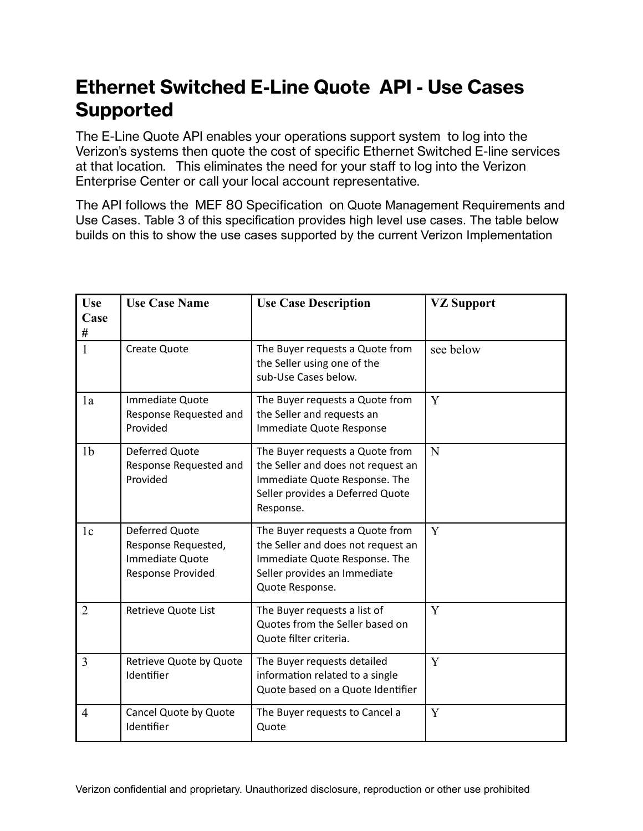## **Ethernet Switched E-Line Quote API - Use Cases Supported**

The E-Line Quote API enables your operations support system to log into the Verizon's systems then quote the cost of specific Ethernet Switched E-line services at that location. This eliminates the need for your staff to log into the Verizon Enterprise Center or call your local account representative.

The API follows the MEF 80 Specification on Quote Management Requirements and Use Cases. Table 3 of this specification provides high level use cases. The table below builds on this to show the use cases supported by the current Verizon Implementation

| Use            | <b>Use Case Name</b>                                                                 | <b>Use Case Description</b>                                                                                                                               | <b>VZ Support</b> |
|----------------|--------------------------------------------------------------------------------------|-----------------------------------------------------------------------------------------------------------------------------------------------------------|-------------------|
| Case           |                                                                                      |                                                                                                                                                           |                   |
| #              |                                                                                      |                                                                                                                                                           |                   |
| $\mathbf{1}$   | <b>Create Quote</b>                                                                  | The Buyer requests a Quote from<br>the Seller using one of the<br>sub-Use Cases below.                                                                    | see below         |
| 1a             | Immediate Quote<br>Response Requested and<br>Provided                                | The Buyer requests a Quote from<br>the Seller and requests an<br>Immediate Quote Response                                                                 | Y                 |
| 1 <sub>b</sub> | Deferred Quote<br>Response Requested and<br>Provided                                 | The Buyer requests a Quote from<br>the Seller and does not request an<br>Immediate Quote Response. The<br>Seller provides a Deferred Quote<br>Response.   | N                 |
| 1 <sub>c</sub> | <b>Deferred Quote</b><br>Response Requested,<br>Immediate Quote<br>Response Provided | The Buyer requests a Quote from<br>the Seller and does not request an<br>Immediate Quote Response. The<br>Seller provides an Immediate<br>Quote Response. | Y                 |
| $\overline{2}$ | Retrieve Quote List                                                                  | The Buyer requests a list of<br>Quotes from the Seller based on<br>Quote filter criteria.                                                                 | Y                 |
| 3              | Retrieve Quote by Quote<br>Identifier                                                | The Buyer requests detailed<br>information related to a single<br>Quote based on a Quote Identifier                                                       | Y                 |
| $\overline{4}$ | Cancel Quote by Quote<br>Identifier                                                  | The Buyer requests to Cancel a<br>Quote                                                                                                                   | Y                 |